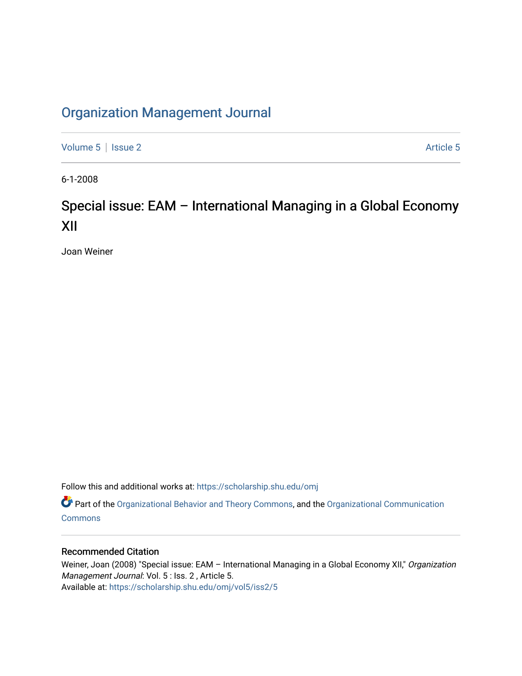## [Organization Management Journal](https://scholarship.shu.edu/omj)

[Volume 5](https://scholarship.shu.edu/omj/vol5) | [Issue 2](https://scholarship.shu.edu/omj/vol5/iss2) Article 5

6-1-2008

## Special issue: EAM – International Managing in a Global Economy XII

Joan Weiner

Follow this and additional works at: [https://scholarship.shu.edu/omj](https://scholarship.shu.edu/omj?utm_source=scholarship.shu.edu%2Fomj%2Fvol5%2Fiss2%2F5&utm_medium=PDF&utm_campaign=PDFCoverPages) 

Part of the [Organizational Behavior and Theory Commons,](http://network.bepress.com/hgg/discipline/639?utm_source=scholarship.shu.edu%2Fomj%2Fvol5%2Fiss2%2F5&utm_medium=PDF&utm_campaign=PDFCoverPages) and the [Organizational Communication](http://network.bepress.com/hgg/discipline/335?utm_source=scholarship.shu.edu%2Fomj%2Fvol5%2Fiss2%2F5&utm_medium=PDF&utm_campaign=PDFCoverPages) **[Commons](http://network.bepress.com/hgg/discipline/335?utm_source=scholarship.shu.edu%2Fomj%2Fvol5%2Fiss2%2F5&utm_medium=PDF&utm_campaign=PDFCoverPages)** 

## Recommended Citation

Weiner, Joan (2008) "Special issue: EAM - International Managing in a Global Economy XII," Organization Management Journal: Vol. 5 : Iss. 2, Article 5. Available at: [https://scholarship.shu.edu/omj/vol5/iss2/5](https://scholarship.shu.edu/omj/vol5/iss2/5?utm_source=scholarship.shu.edu%2Fomj%2Fvol5%2Fiss2%2F5&utm_medium=PDF&utm_campaign=PDFCoverPages)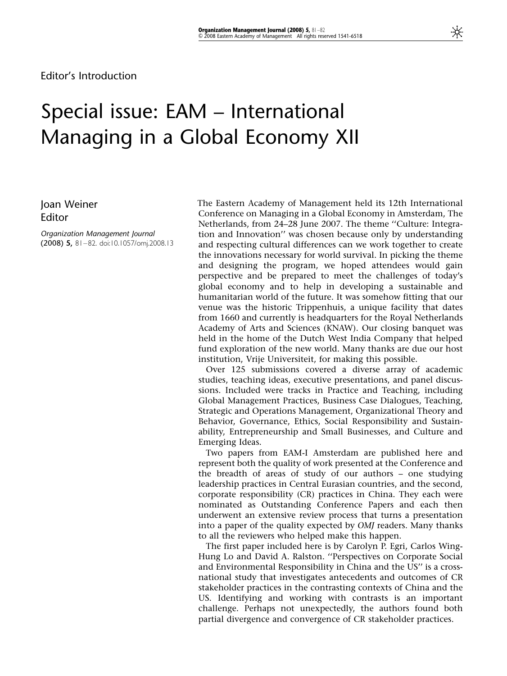## Special issue: EAM – International Managing in a Global Economy XII

Joan Weiner Editor

Organization Management Journal (2008) 5, 81–82. doi:10.1057/omj.2008.13 The Eastern Academy of Management held its 12th International Conference on Managing in a Global Economy in Amsterdam, The Netherlands, from 24–28 June 2007. The theme ''Culture: Integration and Innovation'' was chosen because only by understanding and respecting cultural differences can we work together to create the innovations necessary for world survival. In picking the theme and designing the program, we hoped attendees would gain perspective and be prepared to meet the challenges of today's global economy and to help in developing a sustainable and humanitarian world of the future. It was somehow fitting that our venue was the historic Trippenhuis, a unique facility that dates from 1660 and currently is headquarters for the Royal Netherlands Academy of Arts and Sciences (KNAW). Our closing banquet was held in the home of the Dutch West India Company that helped fund exploration of the new world. Many thanks are due our host institution, Vrije Universiteit, for making this possible.

Over 125 submissions covered a diverse array of academic studies, teaching ideas, executive presentations, and panel discussions. Included were tracks in Practice and Teaching, including Global Management Practices, Business Case Dialogues, Teaching, Strategic and Operations Management, Organizational Theory and Behavior, Governance, Ethics, Social Responsibility and Sustainability, Entrepreneurship and Small Businesses, and Culture and Emerging Ideas.

Two papers from EAM-I Amsterdam are published here and represent both the quality of work presented at the Conference and the breadth of areas of study of our authors – one studying leadership practices in Central Eurasian countries, and the second, corporate responsibility (CR) practices in China. They each were nominated as Outstanding Conference Papers and each then underwent an extensive review process that turns a presentation into a paper of the quality expected by OMJ readers. Many thanks to all the reviewers who helped make this happen.

The first paper included here is by Carolyn P. Egri, Carlos Wing-Hung Lo and David A. Ralston. ''Perspectives on Corporate Social and Environmental Responsibility in China and the US'' is a crossnational study that investigates antecedents and outcomes of CR stakeholder practices in the contrasting contexts of China and the US. Identifying and working with contrasts is an important challenge. Perhaps not unexpectedly, the authors found both partial divergence and convergence of CR stakeholder practices.